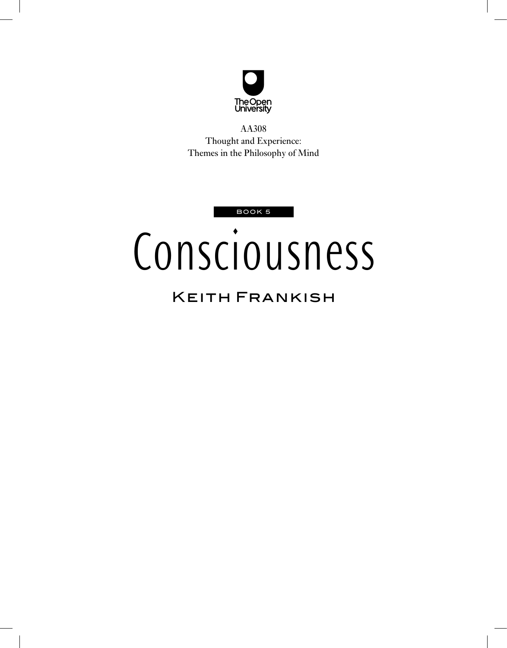

AA308 Thought and Experience: Themes in the Philosophy of Mind

BOOK 5

# Consciousness

#### Keith Frankish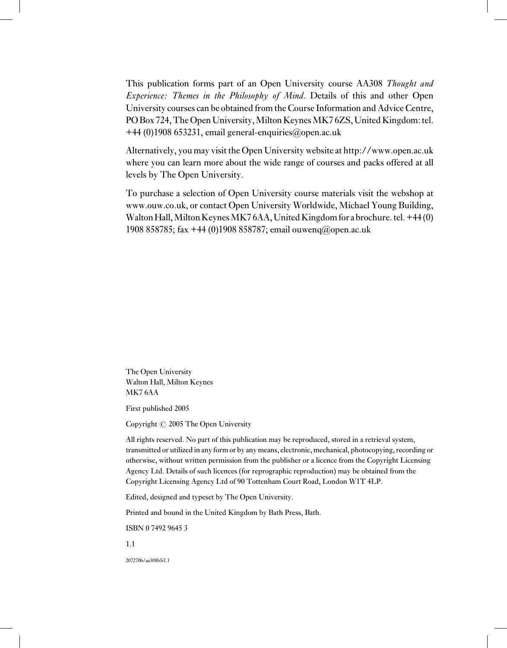This publication forms part of an Open University course AA308 Thought and Experience: Themes in the Philosophy of Mind. Details of this and other Open University courses can be obtained from the Course Information and Advice Centre, POBox 724, The Open University, Milton Keynes MK7 6ZS, United Kingdom: tel.  $+44$  (0)1908 653231, email general-enquiries  $@$  open.ac.uk

Alternatively, you may visit the Open University website at http://www.open.ac.uk where you can learn more about the wide range of courses and packs offered at all levels by The Open University.

To purchase a selection of Open University course materials visit the webshop at www.ouw.co.uk, or contact Open University Worldwide, Michael Young Building, Walton Hall, Milton Keynes MK7 6AA, United Kingdom for a brochure. tel. +44 (0) 1908 858785; fax +44 (0)1908 858787; email ouwenq@open.ac.uk

The Open University Walton Hall, Milton Keynes MK7 6AA

First published 2005

Copyright © 2005 The Open University

All rights reserved. No part of this publication may be reproduced, stored in a retrieval system, transmitted or utilized in any form or by any means, electronic, mechanical, photocopying, recording or otherwise, without written permission from the publisher or a licence from the Copyright Licensing Agency Ltd. Details of such licences (for reprographic reproduction) may be obtained from the Copyright Licensing Agency Ltd of 90 Tottenham Court Road, London W1T 4LP.

Edited, designed and typeset by The Open University.

Printed and bound in the United Kingdom by Bath Press, Bath.

ISBN 0 7492 9645 3

1.1

207270b/aa308b5i1.1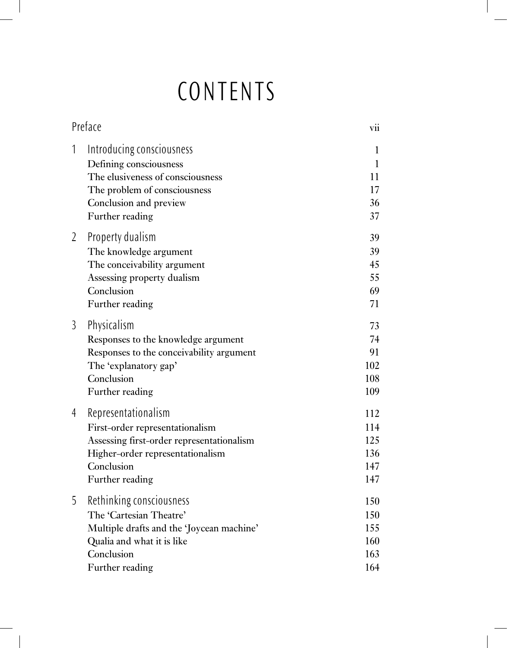# **CONTENTS**

| Preface        |                                                                                                                                                                          | vii                                                  |
|----------------|--------------------------------------------------------------------------------------------------------------------------------------------------------------------------|------------------------------------------------------|
| 1              | Introducing consciousness<br>Defining consciousness<br>The elusiveness of consciousness<br>The problem of consciousness<br>Conclusion and preview<br>Further reading     | $\mathbf{1}$<br>$\mathbf{1}$<br>11<br>17<br>36<br>37 |
| $\overline{2}$ | Property dualism<br>The knowledge argument<br>The conceivability argument                                                                                                | 39<br>39<br>45                                       |
|                | Assessing property dualism<br>Conclusion<br>Further reading                                                                                                              | 55<br>69<br>71                                       |
| 3              | Physicalism<br>Responses to the knowledge argument<br>Responses to the conceivability argument<br>The 'explanatory gap'<br>Conclusion<br>Further reading                 | 73<br>74<br>91<br>102<br>108<br>109                  |
| $\overline{4}$ | Representationalism<br>First-order representationalism<br>Assessing first-order representationalism<br>Higher-order representationalism<br>Conclusion<br>Further reading | 112<br>114<br>125<br>136<br>147<br>147               |
| 5              | Rethinking consciousness<br>The 'Cartesian Theatre'<br>Multiple drafts and the 'Joycean machine'<br>Qualia and what it is like<br>Conclusion<br>Further reading          | 150<br>150<br>155<br>160<br>163<br>164               |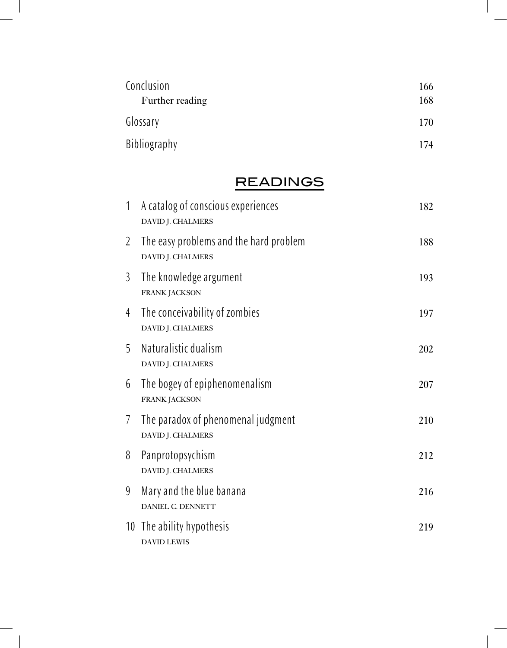| Conclusion      | 166 |
|-----------------|-----|
| Further reading | 168 |
| Glossary        | 170 |
| Bibliography    | 174 |

### READINGS

| $\mathbf{1}$   | A catalog of conscious experiences<br>DAVID J. CHALMERS     | 182 |
|----------------|-------------------------------------------------------------|-----|
| $\overline{2}$ | The easy problems and the hard problem<br>DAVID J. CHALMERS | 188 |
| 3              | The knowledge argument<br><b>FRANK JACKSON</b>              | 193 |
| 4              | The conceivability of zombies<br>DAVID J. CHALMERS          | 197 |
| 5              | Naturalistic dualism<br>DAVID J. CHALMERS                   | 202 |
| 6              | The bogey of epiphenomenalism<br><b>FRANK JACKSON</b>       | 207 |
| $7^{\circ}$    | The paradox of phenomenal judgment<br>DAVID J. CHALMERS     | 210 |
| 8              | Panprotopsychism<br>DAVID J. CHALMERS                       | 212 |
| 9              | Mary and the blue banana<br>DANIEL C. DENNETT               | 216 |
|                | 10 The ability hypothesis<br><b>DAVID LEWIS</b>             | 219 |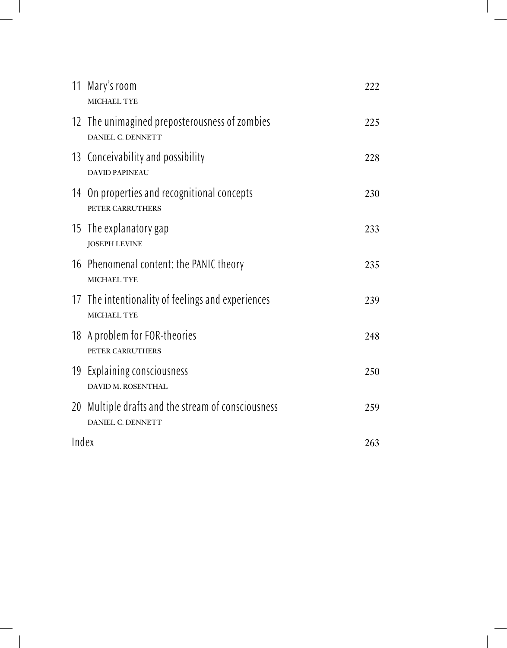|       | 11 Mary's room<br><b>MICHAEL TYE</b>                                    | 222 |
|-------|-------------------------------------------------------------------------|-----|
|       | 12 The unimagined preposterousness of zombies<br>DANIEL C. DENNETT      | 225 |
|       | 13 Conceivability and possibility<br><b>DAVID PAPINEAU</b>              | 228 |
|       | 14 On properties and recognitional concepts<br>PETER CARRUTHERS         | 230 |
|       | 15 The explanatory gap<br><b>JOSEPH LEVINE</b>                          | 233 |
|       | 16 Phenomenal content: the PANIC theory<br><b>MICHAEL TYE</b>           | 235 |
|       | 17 The intentionality of feelings and experiences<br>MICHAEL TYE        | 239 |
|       | 18 A problem for FOR-theories<br>PETER CARRUTHERS                       | 248 |
|       | 19 Explaining consciousness<br>DAVID M. ROSENTHAL                       | 250 |
|       | 20 Multiple drafts and the stream of consciousness<br>DANIEL C. DENNETT | 259 |
| Index |                                                                         | 263 |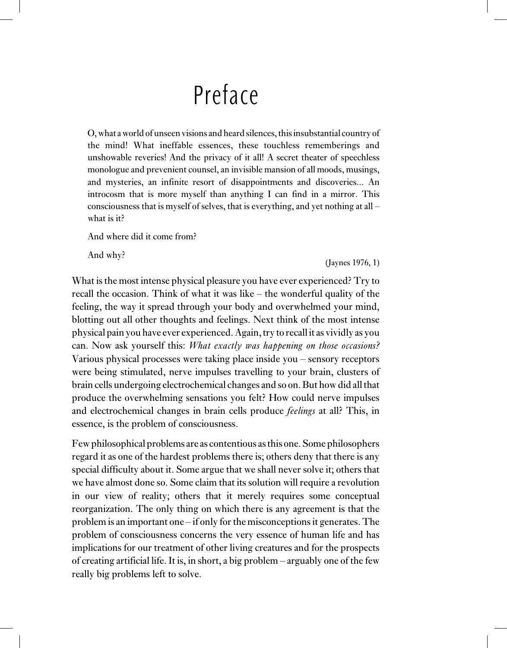### **Preface**

O,whataworld of unseen visionsand heard silences,thisinsubstantial country of the mind! What ineffable essences, these touchless rememberings and unshowable reveries! And the privacy of it all! A secret theater of speechless monologue and prevenient counsel, an invisible mansion of all moods, musings, and mysteries, an infinite resort of disappointments and discoveries... An introcosm that is more myself than anything I can find in a mirror. This consciousness that is myself of selves, that is everything, and yet nothing at all – what is it?

And where did it come from?

And why?

(Jaynes 1976, 1)

What is the most intense physical pleasure you have ever experienced? Try to recall the occasion. Think of what it was like – the wonderful quality of the feeling, the way it spread through your body and overwhelmed your mind, blotting out all other thoughts and feelings. Next think of the most intense physical pain you have ever experienced.Again,try to recall itas vividly as you can. Now ask yourself this: What exactly was happening on those occasions? Various physical processes were taking place inside you – sensory receptors were being stimulated, nerve impulses travelling to your brain, clusters of brain cells undergoing electrochemical changes and so on. But how did all that produce the overwhelming sensations you felt? How could nerve impulses and electrochemical changes in brain cells produce feelings at all? This, in essence, is the problem of consciousness.

Fewphilosophical problemsare as contentiousasthis one.Some philosophers regard it as one of the hardest problems there is; others deny that there is any special difficulty about it. Some argue that we shall never solve it; others that we have almost done so. Some claim that its solution will require a revolution in our view of reality; others that it merely requires some conceptual reorganization. The only thing on which there is any agreement is that the problem is an important one  $-$  if only for the misconceptions it generates. The problem of consciousness concerns the very essence of human life and has implications for our treatment of other living creatures and for the prospects of creating artificial life. It is, in short,a big problem – arguably one of the few really big problems left to solve.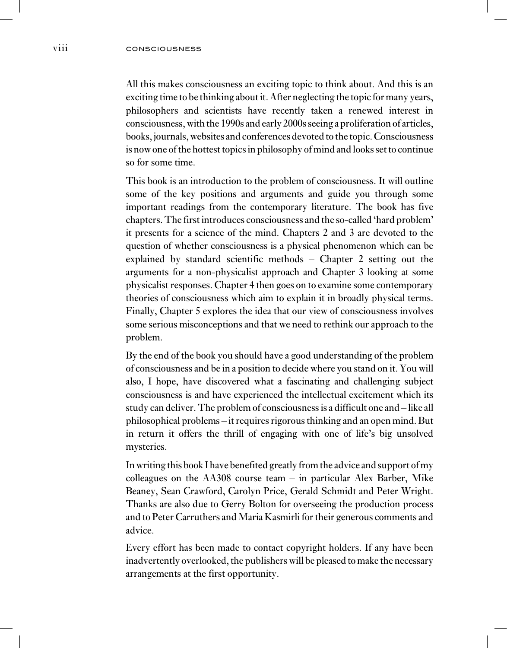All this makes consciousness an exciting topic to think about. And this is an exciting time to be thinking about it. After neglecting the topic for many years, philosophers and scientists have recently taken a renewed interest in consciousness, with the 1990s and early 2000s seeing a proliferation of articles, books, journals,websitesand conferences devoted to the topic.Consciousness is now one of the hottest topics in philosophy of mind and looks set to continue so for some time.

This book is an introduction to the problem of consciousness. It will outline some of the key positions and arguments and guide you through some important readings from the contemporary literature. The book has five chapters. The first introduces consciousnessand the so-called 'hard problem' it presents for a science of the mind. Chapters 2 and 3 are devoted to the question of whether consciousness is a physical phenomenon which can be explained by standard scientific methods – Chapter 2 setting out the arguments for a non-physicalist approach and Chapter 3 looking at some physicalist responses. Chapter 4 then goes on to examine some contemporary theories of consciousness which aim to explain it in broadly physical terms. Finally, Chapter 5 explores the idea that our view of consciousness involves some serious misconceptionsand that we need to rethink ourapproach to the problem.

By the end of the book you should have a good understanding of the problem of consciousnessand be in a position to decide where you stand on it.You will also, I hope, have discovered what a fascinating and challenging subject consciousness is and have experienced the intellectual excitement which its study can deliver. The problem of consciousnessisa difficult one and – like all philosophical problems – itrequiresrigorousthinking and an open mind. But in return it offers the thrill of engaging with one of life's big unsolved mysteries.

In writing this book I have benefited greatly from the advice and support of my colleagues on the AA308 course team – in particular Alex Barber, Mike Beaney, Sean Crawford, Carolyn Price, Gerald Schmidt and Peter Wright. Thanks are also due to Gerry Bolton for overseeing the production process and to Peter Carruthers and Maria Kasmirli for their generous comments and advice.

Every effort has been made to contact copyright holders. If any have been inadvertently overlooked, the publishers will be pleased to make the necessary arrangements at the first opportunity.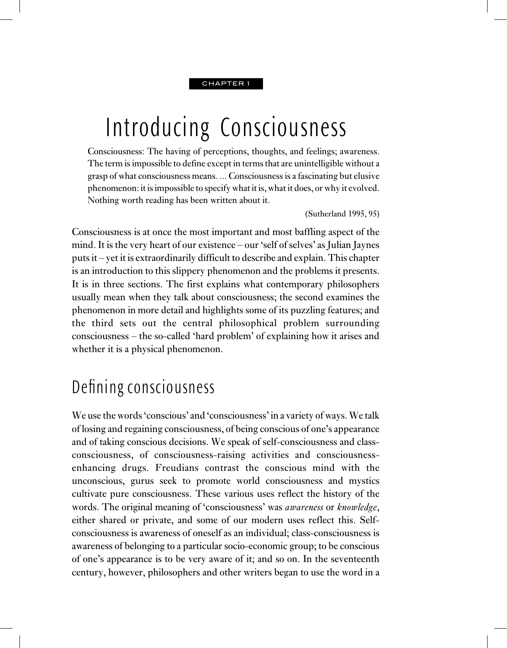CHAPTER 1

## Introducing Consciousness

Consciousness: The having of perceptions, thoughts, and feelings; awareness. The term is impossible to define except in terms that are unintelligible without a grasp of what consciousness means. ... Consciousnessisa fascinating but elusive phenomenon: it is impossible to specify what it is, what it does, or why it evolved. Nothing worth reading has been written about it.

(Sutherland 1995, 95)

Consciousness is at once the most important and most baffling aspect of the mind. It is the very heart of our existence – our 'self of selves'as Julian Jaynes putsit – yet it is extraordinarily difficult to describe and explain. This chapter isan introduction to this slippery phenomenon and the problems it presents. It is in three sections. The first explains what contemporary philosophers usually mean when they talk about consciousness; the second examines the phenomenon in more detailand highlights some of its puzzling features; and the third sets out the central philosophical problem surrounding consciousness – the so-called 'hard problem' of explaining how it arises and whether it is a physical phenomenon.

### Defining consciousness

We use the words 'conscious' and 'consciousness' in a variety of ways. We talk of losing and regaining consciousness, of being conscious of one's appearance and of taking conscious decisions. We speak of self-consciousness and classconsciousness, of consciousness-raising activities and consciousnessenhancing drugs. Freudians contrast the conscious mind with the unconscious, gurus seek to promote world consciousness and mystics cultivate pure consciousness. These various uses reflect the history of the words. The original meaning of 'consciousness' was awareness or knowledge, either shared or private, and some of our modern uses reflect this. Selfconsciousness is awareness of oneself as an individual; class-consciousness is awareness of belonging to a particular socio-economic group; to be conscious of one's appearance is to be very aware of it; and so on. In the seventeenth century, however, philosophers and other writers began to use the word in a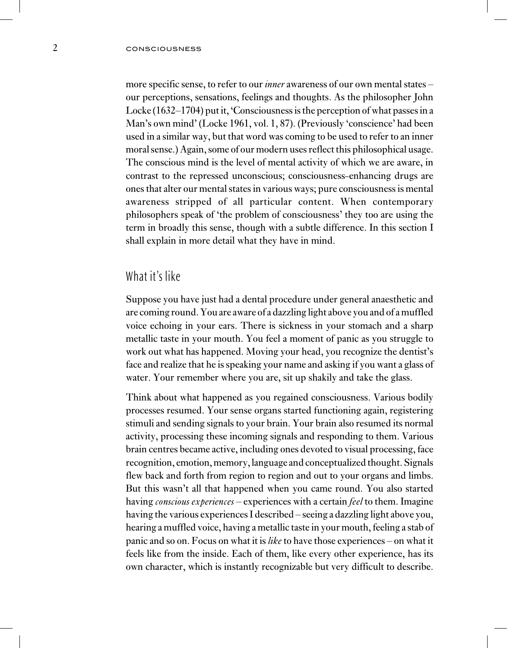more specific sense, to refer to our *inner* awareness of our own mental states – our perceptions, sensations, feelings and thoughts. As the philosopher John Locke (1632–1704) put it, 'Consciousness is the perception of what passes in a Man's own mind' (Locke 1961, vol. 1, 87). (Previously 'conscience' had been used in a similar way, but that word was coming to be used to referto an inner moral sense.) Again, some of our modern uses reflect this philosophical usage. The conscious mind is the level of mental activity of which we are aware, in contrast to the repressed unconscious; consciousness-enhancing drugs are ones that alter our mental states in various ways; pure consciousness is mental awareness stripped of all particular content. When contemporary philosophers speak of 'the problem of consciousness' they too are using the term in broadly this sense, though with a subtle difference. In this section I shall explain in more detail what they have in mind.

#### What it's like

Suppose you have just had a dental procedure under general anaesthetic and are coming round.You are aware ofa dazzling lightabove you and ofa muffled voice echoing in your ears. There is sickness in your stomach and a sharp metallic taste in your mouth. You feel a moment of panic as you struggle to work out what has happened. Moving your head, you recognize the dentist's face and realize that he isspeaking your name and asking if you wanta glass of water. Your remember where you are, sit up shakily and take the glass.

Think about what happened as you regained consciousness. Various bodily processes resumed. Your sense organs started functioning again, registering stimuliand sending signals to your brain. Your brain also resumed its normal activity, processing these incoming signals and responding to them. Various brain centres became active, including ones devoted to visual processing, face recognition, emotion, memory, language and conceptualized thought. Signals flew back and forth from region to region and out to your organs and limbs. But this wasn't all that happened when you came round. You also started having *conscious experiences* – experiences with a certain *feel* to them. Imagine having the various experiences I described – seeing a dazzling light above you, hearing a muffled voice, having a metallic taste in your mouth, feeling a stab of panic and so on. Focus on what it is *like* to have those experiences – on what it feels like from the inside. Each of them, like every other experience, has its own character, which is instantly recognizable but very difficult to describe.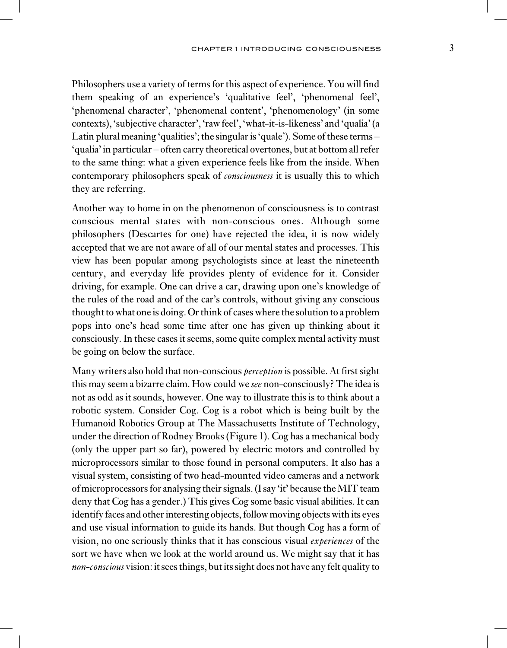Philosophers use a variety of terms for this aspect of experience. You will find them speaking of an experience's 'qualitative feel', 'phenomenal feel', 'phenomenal character', 'phenomenal content', 'phenomenology' (in some contexts), 'subjective character', 'rawfeel', 'what-it-is-likeness'and 'qualia'(a Latin plural meaning 'qualities'; the singular is 'quale'). Some of these terms – 'qualia' in particular – often carry theoretical overtones, but at bottom all refer to the same thing: what a given experience feels like from the inside. When contemporary philosophers speak of consciousness it is usually this to which they are referring.

Another way to home in on the phenomenon of consciousness is to contrast conscious mental states with non-conscious ones. Although some philosophers (Descartes for one) have rejected the idea, it is now widely accepted that we are not aware of all of our mental states and processes. This view has been popular among psychologists since at least the nineteenth century, and everyday life provides plenty of evidence for it. Consider driving, for example. One can drive a car, drawing upon one's knowledge of the rules of the road and of the car's controls, without giving any conscious thought to what one is doing. Orthink of caseswhere the solution to a problem pops into one's head some time after one has given up thinking about it consciously. In these cases it seems, some quite complex mental activity must be going on below the surface.

Many writers also hold that non-conscious *perception* is possible. At first sight this may seem a bizarre claim. How could we see non-consciously? The idea is not as odd as it sounds, however. One way to illustrate this is to think about a robotic system. Consider Cog. Cog is a robot which is being built by the Humanoid Robotics Group at The Massachusetts Institute of Technology, under the direction of Rodney Brooks (Figure 1). Cog has a mechanical body (only the upper part so far), powered by electric motors and controlled by microprocessors similar to those found in personal computers. It also has a visual system, consisting of two head-mounted video cameras and a network of microprocessors for analysing their signals. (I say 'it' because the MIT team deny that Cog has a gender.) This gives Cog some basic visual abilities. It can identify faces and other interesting objects, follow moving objects with its eyes and use visual information to guide its hands. But though Cog has a form of vision, no one seriously thinks that it has conscious visual experiences of the sort we have when we look at the world around us. We might say that it has non-conscious vision: it seesthings, butitssight does not have any felt quality to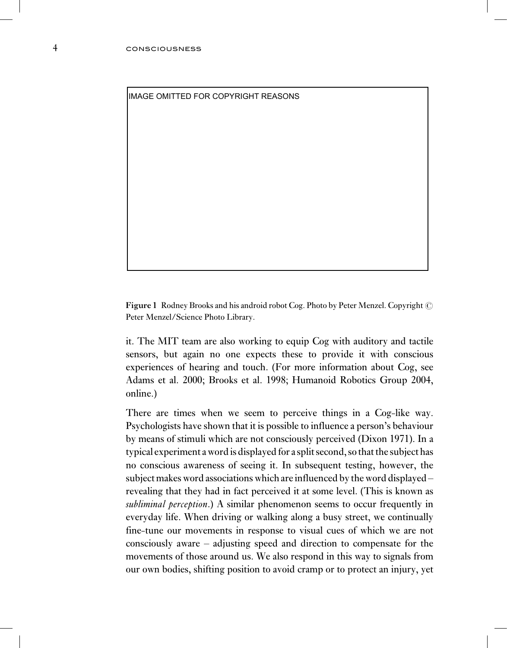IMAGE OMITTED FOR COPYRIGHT REASONS

Figure 1 Rodney Brooks and his android robot Cog. Photo by Peter Menzel. Copyright  $\odot$ Peter Menzel/Science Photo Library.

it. The MIT team are also working to equip Cog with auditory and tactile sensors, but again no one expects these to provide it with conscious experiences of hearing and touch. (For more information about Cog, see Adams et al. 2000; Brooks et al. 1998; Humanoid Robotics Group 2004, online.)

There are times when we seem to perceive things in a Cog-like way. Psychologists have shown that it is possible to influence a person's behaviour by means of stimuli which are not consciously perceived (Dixon 1971). In a typical experiment a word is displayed for a split second, so that the subject has no conscious awareness of seeing it. In subsequent testing, however, the subject makes word associations which are influenced by the word displayed – revealing that they had in fact perceived it at some level. (This is known as subliminal perception.) A similar phenomenon seems to occur frequently in everyday life. When driving or walking along a busy street, we continually fine-tune our movements in response to visual cues of which we are not consciously aware – adjusting speed and direction to compensate for the movements of those around us. We also respond in this way to signals from our own bodies, shifting position to avoid cramp or to protect an injury, yet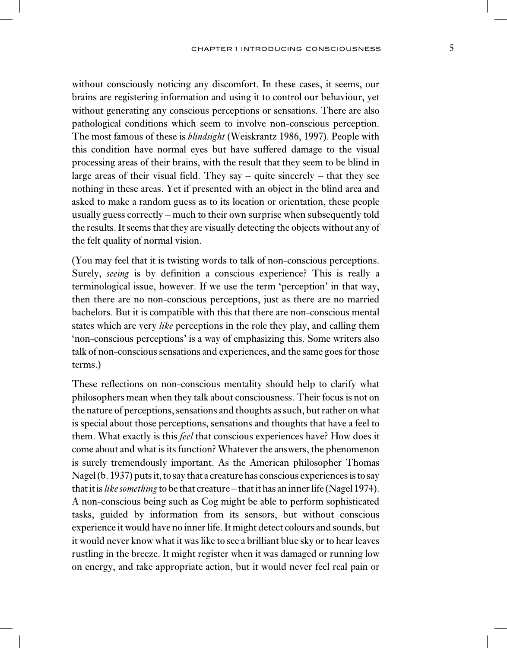without consciously noticing any discomfort. In these cases, it seems, our brains are registering information and using it to control our behaviour, yet without generating any conscious perceptions or sensations. There are also pathological conditions which seem to involve non-conscious perception. The most famous of these is blindsight (Weiskrantz 1986, 1997). People with this condition have normal eyes but have suffered damage to the visual processing areas of their brains, with the result that they seem to be blind in large areas of their visual field. They say – quite sincerely – that they see nothing in these areas. Yet if presented with an object in the blind area and asked to make a random guess as to its location or orientation, these people usually guess correctly – much to their own surprise when subsequently told the results. It seems that they are visually detecting the objects without any of the felt quality of normal vision.

(You may feel that it is twisting words to talk of non-conscious perceptions. Surely, *seeing* is by definition a conscious experience? This is really a terminological issue, however. If we use the term 'perception' in that way, then there are no non-conscious perceptions, just as there are no married bachelors. But it is compatible with this that there are non-conscious mental states which are very like perceptions in the role they play, and calling them 'non-conscious perceptions' is a way of emphasizing this. Some writers also talk of non-conscious sensations and experiences, and the same goes for those terms.)

These reflections on non-conscious mentality should help to clarify what philosophers mean when they talk about consciousness. Their focus is not on the nature of perceptions, sensations and thoughts as such, but rather on what is special about those perceptions, sensations and thoughts that have a feel to them. What exactly is this feel that conscious experiences have? How does it come about and what is its function? Whatever the answers, the phenomenon is surely tremendously important. As the American philosopher Thomas Nagel (b. 1937) puts it, to say that a creature has conscious experiences is to say that it is like something to be that creature – that it has an inner life (Nagel 1974). A non-conscious being such as Cog might be able to perform sophisticated tasks, guided by information from its sensors, but without conscious experience itwould have no innerlife.It might detect coloursand sounds, but it would never know what it was like to see a brilliant blue sky or to hear leaves rustling in the breeze. It might register when it was damaged or running low on energy, and take appropriate action, but it would never feel real pain or